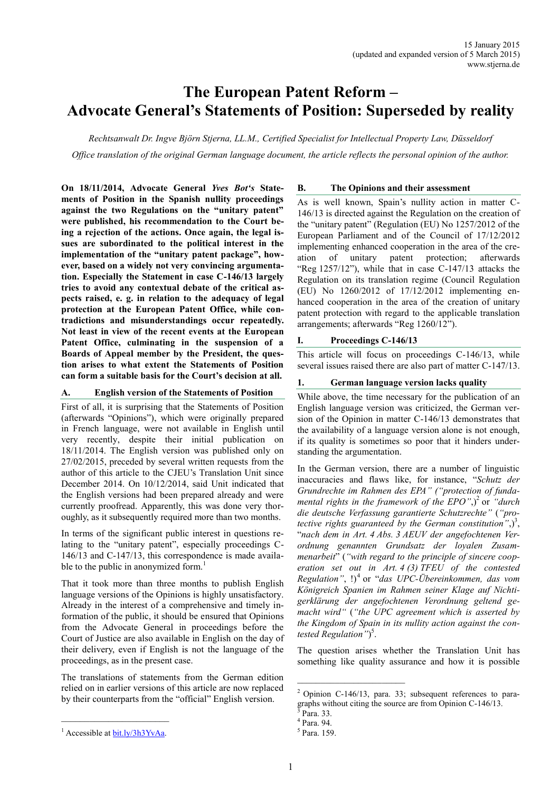# **The European Patent Reform – Advocate General's Statements of Position: Superseded by reality**

*Rechtsanwalt Dr. Ingve Björn Stjerna, LL.M., Certified Specialist for Intellectual Property Law, Düsseldorf Office translation of the original German language document, the article reflects the personal opinion of the author.*

**On 18/11/2014, Advocate General** *Yves Bot's* **Statements of Position in the Spanish nullity proceedings against the two Regulations on the "unitary patent" were published, his recommendation to the Court being a rejection of the actions. Once again, the legal issues are subordinated to the political interest in the implementation of the "unitary patent package", however, based on a widely not very convincing argumentation. Especially the Statement in case C-146/13 largely tries to avoid any contextual debate of the critical aspects raised, e. g. in relation to the adequacy of legal protection at the European Patent Office, while contradictions and misunderstandings occur repeatedly. Not least in view of the recent events at the European Patent Office, culminating in the suspension of a Boards of Appeal member by the President, the question arises to what extent the Statements of Position can form a suitable basis for the Court's decision at all.**

#### **A. English version of the Statements of Position**

First of all, it is surprising that the Statements of Position (afterwards "Opinions"), which were originally prepared in French language, were not available in English until very recently, despite their initial publication on 18/11/2014. The English version was published only on 27/02/2015, preceded by several written requests from the author of this article to the CJEU's Translation Unit since December 2014. On 10/12/2014, said Unit indicated that the English versions had been prepared already and were currently proofread. Apparently, this was done very thoroughly, as it subsequently required more than two months.

In terms of the significant public interest in questions relating to the "unitary patent", especially proceedings C-146/13 and C-147/13, this correspondence is made available to the public in anonymized form.<sup>1</sup>

That it took more than three months to publish English language versions of the Opinions is highly unsatisfactory. Already in the interest of a comprehensive and timely information of the public, it should be ensured that Opinions from the Advocate General in proceedings before the Court of Justice are also available in English on the day of their delivery, even if English is not the language of the proceedings, as in the present case.

The translations of statements from the German edition relied on in earlier versions of this article are now replaced by their counterparts from the "official" English version.

#### **B. The Opinions and their assessment**

As is well known, Spain's nullity action in matter C-146/13 is directed against the Regulation on the creation of the "unitary patent" (Regulation (EU) No 1257/2012 of the European Parliament and of the Council of 17/12/2012 implementing enhanced cooperation in the area of the creation of unitary patent protection; afterwards "Reg  $1257/12$ "), while that in case C-147/13 attacks the Regulation on its translation regime (Council Regulation (EU) No 1260/2012 of 17/12/2012 implementing enhanced cooperation in the area of the creation of unitary patent protection with regard to the applicable translation arrangements; afterwards "Reg 1260/12").

#### **I. Proceedings C-146/13**

This article will focus on proceedings C-146/13, while several issues raised there are also part of matter C-147/13.

#### **1. German language version lacks quality**

While above, the time necessary for the publication of an English language version was criticized, the German version of the Opinion in matter C-146/13 demonstrates that the availability of a language version alone is not enough, if its quality is sometimes so poor that it hinders understanding the argumentation.

In the German version, there are a number of linguistic inaccuracies and flaws like, for instance, "*Schutz der Grundrechte im Rahmen des EPA" ("protection of funda*mental rights in the framework of the *EPO*",<sup>2</sup> or "durch" *die deutsche Verfassung garantierte Schutzrechte"* (*"protective rights guaranteed by the German constitution"*,) 3 , "*nach dem in Art. 4 Abs. 3 AEUV der angefochtenen Verordnung genannten Grundsatz der loyalen Zusammenarbeit*" (*"with regard to the principle of sincere cooperation set out in Art. 4 (3) TFEU of the contested Regulation"*, !) 4 or "*das UPC-Übereinkommen, das vom Königreich Spanien im Rahmen seiner Klage auf Nichtigerklärung der angefochtenen Verordnung geltend gemacht wird"* (*"the UPC agreement which is asserted by the Kingdom of Spain in its nullity action against the contested Regulation"*) 5 .

The question arises whether the Translation Unit has something like quality assurance and how it is possible

 $\mathcal{L}_\text{max}$ 

 $2$  Opinion C-146/13, para. 33; subsequent references to paragraphs without citing the source are from Opinion C-146/13.

<sup>3</sup> Para. 33.

<sup>4</sup> Para. 94.

<sup>5</sup> Para. 159.

<sup>&</sup>lt;sup>1</sup> Accessible at **bit.ly/3h3YvAa**.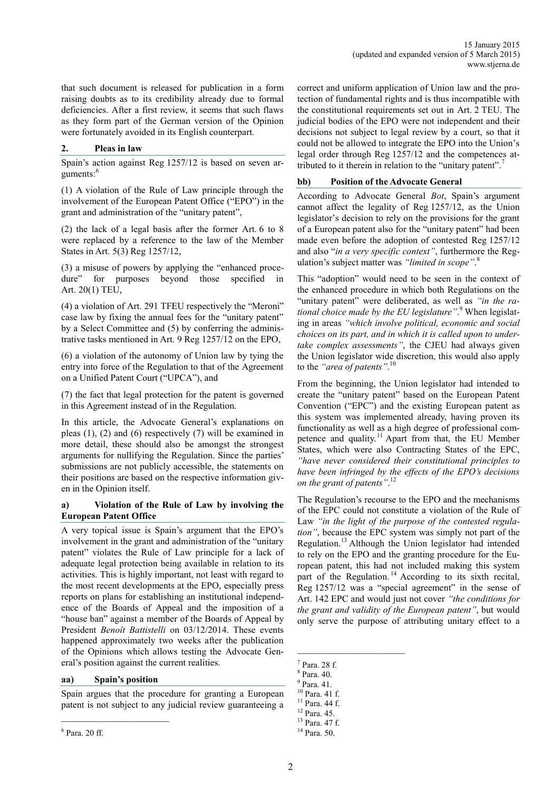that such document is released for publication in a form raising doubts as to its credibility already due to formal deficiencies. After a first review, it seems that such flaws as they form part of the German version of the Opinion were fortunately avoided in its English counterpart.

# **2. Pleas in law**

Spain's action against Reg 1257/12 is based on seven arguments:<sup>6</sup>

(1) A violation of the Rule of Law principle through the involvement of the European Patent Office ("EPO") in the grant and administration of the "unitary patent",

(2) the lack of a legal basis after the former Art. 6 to 8 were replaced by a reference to the law of the Member States in Art. 5(3) Reg 1257/12,

(3) a misuse of powers by applying the "enhanced procedure" for purposes beyond those specified in Art. 20(1) TEU,

(4) a violation of Art. 291 TFEU respectively the "Meroni" case law by fixing the annual fees for the "unitary patent" by a Select Committee and (5) by conferring the administrative tasks mentioned in Art. 9 Reg 1257/12 on the EPO,

(6) a violation of the autonomy of Union law by tying the entry into force of the Regulation to that of the Agreement on a Unified Patent Court ("UPCA"), and

(7) the fact that legal protection for the patent is governed in this Agreement instead of in the Regulation.

In this article, the Advocate General's explanations on pleas (1), (2) and (6) respectively (7) will be examined in more detail, these should also be amongst the strongest arguments for nullifying the Regulation. Since the parties' submissions are not publicly accessible, the statements on their positions are based on the respective information given in the Opinion itself.

# **a) Violation of the Rule of Law by involving the European Patent Office**

A very topical issue is Spain's argument that the EPO's involvement in the grant and administration of the "unitary patent" violates the Rule of Law principle for a lack of adequate legal protection being available in relation to its activities. This is highly important, not least with regard to the most recent developments at the EPO, especially press reports on plans for establishing an institutional independence of the Boards of Appeal and the imposition of a "house ban" against a member of the Boards of Appeal by President *Benoît Battistelli* on 03/12/2014. These events happened approximately two weeks after the publication of the Opinions which allows testing the Advocate General's position against the current realities.

# **aa) Spain's position**

Spain argues that the procedure for granting a European patent is not subject to any judicial review guaranteeing a correct and uniform application of Union law and the protection of fundamental rights and is thus incompatible with the constitutional requirements set out in Art. 2 TEU. The judicial bodies of the EPO were not independent and their decisions not subject to legal review by a court, so that it could not be allowed to integrate the EPO into the Union's legal order through Reg 1257/12 and the competences attributed to it therein in relation to the "unitary patent".<sup>7</sup>

#### **bb) Position of the Advocate General**

According to Advocate General *Bot*, Spain's argument cannot affect the legality of Reg 1257/12, as the Union legislator's decision to rely on the provisions for the grant of a European patent also for the "unitary patent" had been made even before the adoption of contested Reg 1257/12 and also "*in a very specific context"*, furthermore the Regulation's subject matter was *"limited in scope"*. 8

This "adoption" would need to be seen in the context of the enhanced procedure in which both Regulations on the "unitary patent" were deliberated, as well as *"in the rational choice made by the EU legislature"*. <sup>9</sup> When legislating in areas *"which involve political, economic and social choices on its part, and in which it is called upon to undertake complex assessments"*, the CJEU had always given the Union legislator wide discretion, this would also apply to the *"area of patents"*. 10

From the beginning, the Union legislator had intended to create the "unitary patent" based on the European Patent Convention ("EPC") and the existing European patent as this system was implemented already, having proven its functionality as well as a high degree of professional competence and quality.<sup>11</sup> Apart from that, the EU Member States, which were also Contracting States of the EPC, *"have never considered their constitutional principles to have been infringed by the effects of the EPO's decisions on the grant of patents"*. 12

The Regulation's recourse to the EPO and the mechanisms of the EPC could not constitute a violation of the Rule of Law *"in the light of the purpose of the contested regulation"*, because the EPC system was simply not part of the Regulation.<sup>13</sup> Although the Union legislator had intended to rely on the EPO and the granting procedure for the European patent, this had not included making this system part of the Regulation.<sup>14</sup> According to its sixth recital, Reg 1257/12 was a "special agreement" in the sense of Art. 142 EPC and would just not cover *"the conditions for the grant and validity of the European patent"*, but would only serve the purpose of attributing unitary effect to a

\_\_\_\_\_\_\_\_\_\_\_\_\_\_\_\_\_\_\_\_\_\_\_

<sup>6</sup> Para. 20 ff.

 $7$  Para. 28 f.

<sup>8</sup> Para. 40.

<sup>9</sup> Para. 41.

 $10$  Para. 41 f.

<sup>11</sup> Para. 44 f.

<sup>12</sup> Para. 45.

<sup>13</sup> Para. 47 f. <sup>14</sup> Para. 50.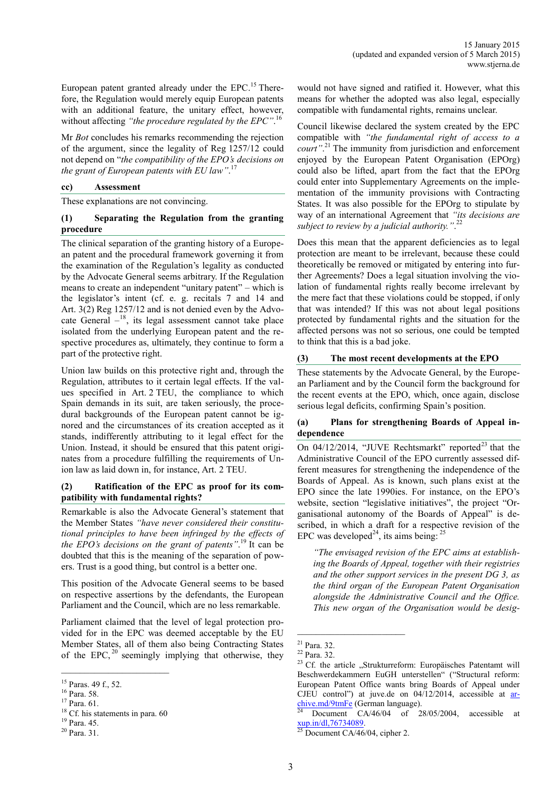European patent granted already under the EPC.<sup>15</sup> Therefore, the Regulation would merely equip European patents with an additional feature, the unitary effect, however, without affecting *"the procedure regulated by the EPC"*. 16

Mr *Bot* concludes his remarks recommending the rejection of the argument, since the legality of Reg 1257/12 could not depend on "*the compatibility of the EPO's decisions on the grant of European patents with EU law"*. 17

#### **cc) Assessment**

These explanations are not convincing.

# **(1) Separating the Regulation from the granting procedure**

The clinical separation of the granting history of a European patent and the procedural framework governing it from the examination of the Regulation's legality as conducted by the Advocate General seems arbitrary. If the Regulation means to create an independent "unitary patent" – which is the legislator's intent (cf. e. g. recitals 7 and 14 and Art. 3(2) Reg 1257/12 and is not denied even by the Advocate General  $-$ <sup>18</sup>, its legal assessment cannot take place isolated from the underlying European patent and the respective procedures as, ultimately, they continue to form a part of the protective right.

Union law builds on this protective right and, through the Regulation, attributes to it certain legal effects. If the values specified in Art. 2 TEU, the compliance to which Spain demands in its suit, are taken seriously, the procedural backgrounds of the European patent cannot be ignored and the circumstances of its creation accepted as it stands, indifferently attributing to it legal effect for the Union. Instead, it should be ensured that this patent originates from a procedure fulfilling the requirements of Union law as laid down in, for instance, Art. 2 TEU.

# **(2) Ratification of the EPC as proof for its compatibility with fundamental rights?**

Remarkable is also the Advocate General's statement that the Member States *"have never considered their constitutional principles to have been infringed by the effects of the EPO's decisions on the grant of patents"*. <sup>19</sup> It can be doubted that this is the meaning of the separation of powers. Trust is a good thing, but control is a better one.

This position of the Advocate General seems to be based on respective assertions by the defendants, the European Parliament and the Council, which are no less remarkable.

Parliament claimed that the level of legal protection provided for in the EPC was deemed acceptable by the EU Member States, all of them also being Contracting States of the EPC, <sup>20</sup> seemingly implying that otherwise, they would not have signed and ratified it. However, what this means for whether the adopted was also legal, especially compatible with fundamental rights, remains unclear.

Council likewise declared the system created by the EPC compatible with *"the fundamental right of access to a court"*. <sup>21</sup> The immunity from jurisdiction and enforcement enjoyed by the European Patent Organisation (EPOrg) could also be lifted, apart from the fact that the EPOrg could enter into Supplementary Agreements on the implementation of the immunity provisions with Contracting States. It was also possible for the EPOrg to stipulate by way of an international Agreement that *"its decisions are subject to review by a judicial authority."*. 22

Does this mean that the apparent deficiencies as to legal protection are meant to be irrelevant, because these could theoretically be removed or mitigated by entering into further Agreements? Does a legal situation involving the violation of fundamental rights really become irrelevant by the mere fact that these violations could be stopped, if only that was intended? If this was not about legal positions protected by fundamental rights and the situation for the affected persons was not so serious, one could be tempted to think that this is a bad joke.

# **(3) The most recent developments at the EPO**

These statements by the Advocate General, by the European Parliament and by the Council form the background for the recent events at the EPO, which, once again, disclose serious legal deficits, confirming Spain's position.

# **(a) Plans for strengthening Boards of Appeal independence**

On  $04/12/2014$ , "JUVE Rechtsmarkt" reported<sup>23</sup> that the Administrative Council of the EPO currently assessed different measures for strengthening the independence of the Boards of Appeal. As is known, such plans exist at the EPO since the late 1990ies. For instance, on the EPO's website, section "legislative initiatives", the project "Organisational autonomy of the Boards of Appeal" is described, in which a draft for a respective revision of the EPC was developed<sup>24</sup>, its aims being:  $25$ 

*"The envisaged revision of the EPC aims at establishing the Boards of Appeal, together with their registries and the other support services in the present DG 3, as the third organ of the European Patent Organisation alongside the Administrative Council and the Office. This new organ of the Organisation would be desig-*

\_\_\_\_\_\_\_\_\_\_\_\_\_\_\_\_\_\_\_\_\_\_\_

<sup>15</sup> Paras. 49 f., 52.

<sup>16</sup> Para. 58.

<sup>17</sup> Para. 61.

<sup>&</sup>lt;sup>18</sup> Cf. his statements in para. 60

<sup>19</sup> Para. 45.

<sup>20</sup> Para. 31.

<sup>21</sup> Para. 32.

<sup>22</sup> Para. 32.

<sup>&</sup>lt;sup>23</sup> Cf. the article "Strukturreform: Europäisches Patentamt will Beschwerdekammern EuGH unterstellen" ("Structural reform: European Patent Office wants bring Boards of Appeal under CJEU control") at juve.de on 04/12/2014, accessible at [ar](https://archive.md/9tmFe)[chive.md/9tmFe](https://archive.md/9tmFe) (German language).

Document CA/46/04 of 28/05/2004, accessible at  $rac{xup.in/dl,76734089}{25}$ .

Document CA/46/04, cipher 2.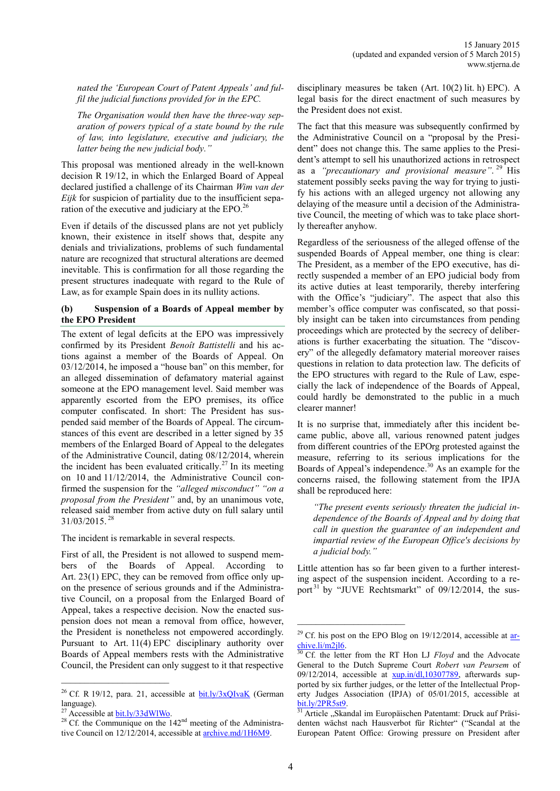*nated the 'European Court of Patent Appeals' and fulfil the judicial functions provided for in the EPC.*

*The Organisation would then have the three-way separation of powers typical of a state bound by the rule of law, into legislature, executive and judiciary, the latter being the new judicial body."*

This proposal was mentioned already in the well-known decision R 19/12, in which the Enlarged Board of Appeal declared justified a challenge of its Chairman *Wim van der Eijk* for suspicion of partiality due to the insufficient separation of the executive and judiciary at the EPO.<sup>26</sup>

Even if details of the discussed plans are not yet publicly known, their existence in itself shows that, despite any denials and trivializations, problems of such fundamental nature are recognized that structural alterations are deemed inevitable. This is confirmation for all those regarding the present structures inadequate with regard to the Rule of Law, as for example Spain does in its nullity actions.

#### **(b) Suspension of a Boards of Appeal member by the EPO President**

The extent of legal deficits at the EPO was impressively confirmed by its President *Benoît Battistelli* and his actions against a member of the Boards of Appeal. On 03/12/2014, he imposed a "house ban" on this member, for an alleged dissemination of defamatory material against someone at the EPO management level. Said member was apparently escorted from the EPO premises, its office computer confiscated. In short: The President has suspended said member of the Boards of Appeal. The circumstances of this event are described in a letter signed by 35 members of the Enlarged Board of Appeal to the delegates of the Administrative Council, dating 08/12/2014, wherein the incident has been evaluated critically.<sup>27</sup> In its meeting on 10 and 11/12/2014, the Administrative Council confirmed the suspension for the *"alleged misconduct" "on a proposal from the President"* and, by an unanimous vote, released said member from active duty on full salary until 31/03/2015. 28

The incident is remarkable in several respects.

First of all, the President is not allowed to suspend members of the Boards of Appeal. According to Art. 23(1) EPC, they can be removed from office only upon the presence of serious grounds and if the Administrative Council, on a proposal from the Enlarged Board of Appeal, takes a respective decision. Now the enacted suspension does not mean a removal from office, however, the President is nonetheless not empowered accordingly. Pursuant to Art. 11(4) EPC disciplinary authority over Boards of Appeal members rests with the Administrative Council, the President can only suggest to it that respective

 $\mathcal{L}_\text{max}$ 

disciplinary measures be taken (Art. 10(2) lit. h) EPC). A legal basis for the direct enactment of such measures by the President does not exist.

The fact that this measure was subsequently confirmed by the Administrative Council on a "proposal by the President" does not change this. The same applies to the President's attempt to sell his unauthorized actions in retrospect as a *"precautionary and provisional measure"*. <sup>29</sup> His statement possibly seeks paving the way for trying to justify his actions with an alleged urgency not allowing any delaying of the measure until a decision of the Administrative Council, the meeting of which was to take place shortly thereafter anyhow.

Regardless of the seriousness of the alleged offense of the suspended Boards of Appeal member, one thing is clear: The President, as a member of the EPO executive, has directly suspended a member of an EPO judicial body from its active duties at least temporarily, thereby interfering with the Office's "judiciary". The aspect that also this member's office computer was confiscated, so that possibly insight can be taken into circumstances from pending proceedings which are protected by the secrecy of deliberations is further exacerbating the situation. The "discovery" of the allegedly defamatory material moreover raises questions in relation to data protection law. The deficits of the EPO structures with regard to the Rule of Law, especially the lack of independence of the Boards of Appeal, could hardly be demonstrated to the public in a much clearer manner!

It is no surprise that, immediately after this incident became public, above all, various renowned patent judges from different countries of the EPOrg protested against the measure, referring to its serious implications for the Boards of Appeal's independence. <sup>30</sup> As an example for the concerns raised, the following statement from the IPJA shall be reproduced here:

*"The present events seriously threaten the judicial independence of the Boards of Appeal and by doing that call in question the guarantee of an independent and impartial review of the European Office's decisions by a judicial body."*

Little attention has so far been given to a further interesting aspect of the suspension incident. According to a report<sup>31</sup> by "JUVE Rechtsmarkt" of  $09/12/2014$ , the sus-

<sup>&</sup>lt;sup>26</sup> Cf. R 19/12, para. 21, accessible at  $bit.1y/3xQIv$ aK (German language).

 $27$  Accessible at  $\underline{bit}$ .ly/33dWlWo.

<sup>&</sup>lt;sup>28</sup> Cf. the Communique on the  $142<sup>nd</sup>$  meeting of the Administrative Council on 12/12/2014, accessible at **archive.md/1H6M9**.

<sup>&</sup>lt;sup>29</sup> Cf. his post on the EPO Blog on  $19/12/2014$ , accessible at [ar](file:///C:/Users/IBS/Eigene%20Dokumente/Veröffentlichungen/Website/2014_12%20-%20Opinion%20C-146_13/archive.li/m2jl6)[chive.li/m2jl6.](file:///C:/Users/IBS/Eigene%20Dokumente/Veröffentlichungen/Website/2014_12%20-%20Opinion%20C-146_13/archive.li/m2jl6) 

<sup>30</sup> Cf. the letter from the RT Hon LJ *Floyd* and the Advocate General to the Dutch Supreme Court *Robert van Peursem* of  $09/12/2014$ , accessible at  $xup.in/dl,10307789$ , afterwards supported by six further judges, or the letter of the Intellectual Property Judges Association (IPJA) of 05/01/2015, accessible at [bit.ly/2PR5st9.](https://bit.ly/2PR5st9)

<sup>&</sup>lt;sup>31</sup> Article "Skandal im Europäischen Patentamt: Druck auf Präsidenten wächst nach Hausverbot für Richter" ("Scandal at the European Patent Office: Growing pressure on President after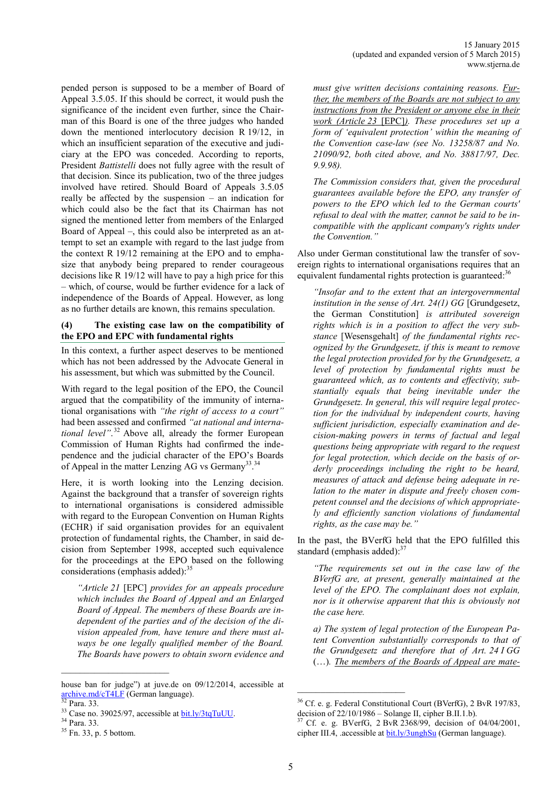pended person is supposed to be a member of Board of Appeal 3.5.05. If this should be correct, it would push the significance of the incident even further, since the Chairman of this Board is one of the three judges who handed down the mentioned interlocutory decision R 19/12, in which an insufficient separation of the executive and judiciary at the EPO was conceded. According to reports, President *Battistelli* does not fully agree with the result of that decision. Since its publication, two of the three judges involved have retired. Should Board of Appeals 3.5.05 really be affected by the suspension – an indication for which could also be the fact that its Chairman has not signed the mentioned letter from members of the Enlarged Board of Appeal –, this could also be interpreted as an attempt to set an example with regard to the last judge from the context R 19/12 remaining at the EPO and to emphasize that anybody being prepared to render courageous decisions like R 19/12 will have to pay a high price for this – which, of course, would be further evidence for a lack of independence of the Boards of Appeal. However, as long as no further details are known, this remains speculation.

#### **(4) The existing case law on the compatibility of the EPO and EPC with fundamental rights**

In this context, a further aspect deserves to be mentioned which has not been addressed by the Advocate General in his assessment, but which was submitted by the Council.

With regard to the legal position of the EPO, the Council argued that the compatibility of the immunity of international organisations with *"the right of access to a court"* had been assessed and confirmed *"at national and international level"*. <sup>32</sup> Above all, already the former European Commission of Human Rights had confirmed the independence and the judicial character of the EPO's Boards of Appeal in the matter Lenzing AG vs Germany<sup>33</sup>.<sup>34</sup>

Here, it is worth looking into the Lenzing decision. Against the background that a transfer of sovereign rights to international organisations is considered admissible with regard to the European Convention on Human Rights (ECHR) if said organisation provides for an equivalent protection of fundamental rights, the Chamber, in said decision from September 1998, accepted such equivalence for the proceedings at the EPO based on the following considerations (emphasis added):<sup>35</sup>

*"Article 21* [EPC] *provides for an appeals procedure which includes the Board of Appeal and an Enlarged Board of Appeal. The members of these Boards are independent of the parties and of the decision of the division appealed from, have tenure and there must always be one legally qualified member of the Board. The Boards have powers to obtain sworn evidence and* 

*must give written decisions containing reasons. Further, the members of the Boards are not subject to any instructions from the President or anyone else in their work (Article 23* [EPC]*). These procedures set up a form of 'equivalent protection' within the meaning of the Convention case-law (see No. 13258/87 and No. 21090/92, both cited above, and No. 38817/97, Dec. 9.9.98).*

*The Commission considers that, given the procedural guarantees available before the EPO, any transfer of powers to the EPO which led to the German courts' refusal to deal with the matter, cannot be said to be incompatible with the applicant company's rights under the Convention."*

Also under German constitutional law the transfer of sovereign rights to international organisations requires that an equivalent fundamental rights protection is guaranteed:<sup>36</sup>

*"Insofar and to the extent that an intergovernmental institution in the sense of Art. 24(1) GG* [Grundgesetz, the German Constitution] *is attributed sovereign rights which is in a position to affect the very substance* [Wesensgehalt] *of the fundamental rights recognized by the Grundgesetz, if this is meant to remove the legal protection provided for by the Grundgesetz, a level of protection by fundamental rights must be guaranteed which, as to contents and effectivity, substantially equals that being inevitable under the Grundgesetz. In general, this will require legal protection for the individual by independent courts, having sufficient jurisdiction, especially examination and decision-making powers in terms of factual and legal questions being appropriate with regard to the request for legal protection, which decide on the basis of orderly proceedings including the right to be heard, measures of attack and defense being adequate in relation to the mater in dispute and freely chosen competent counsel and the decisions of which appropriately and efficiently sanction violations of fundamental rights, as the case may be."* 

In the past, the BVerfG held that the EPO fulfilled this standard (emphasis added):<sup>37</sup>

*"The requirements set out in the case law of the BVerfG are, at present, generally maintained at the level of the EPO. The complainant does not explain, nor is it otherwise apparent that this is obviously not the case here.*

*a) The system of legal protection of the European Patent Convention substantially corresponds to that of the Grundgesetz and therefore that of Art. 24 I GG*  (…)*. The members of the Boards of Appeal are mate-*

 $\mathcal{L}_\text{max}$ 

house ban for judge") at juve.de on 09/12/2014, accessible at [archive.md/cT4LF](https://archive.md/cT4LF) (German language).

 $\frac{1}{32}$  Para. 33.

<sup>&</sup>lt;sup>33</sup> Case no. 39025/97, accessible at **bit.ly/3tqTuUU**.

<sup>34</sup> Para. 33.

<sup>35</sup> Fn. 33, p. 5 bottom.

<sup>36</sup> Cf. e. g. Federal Constitutional Court (BVerfG), 2 BvR 197/83, decision of  $22/10/1986$  – Solange II, cipher B.II.1.b).

<sup>37</sup> Cf. e. g. BVerfG, 2 BvR 2368/99, decision of 04/04/2001, cipher III.4, .accessible at **bit.ly/3unghSu** (German language).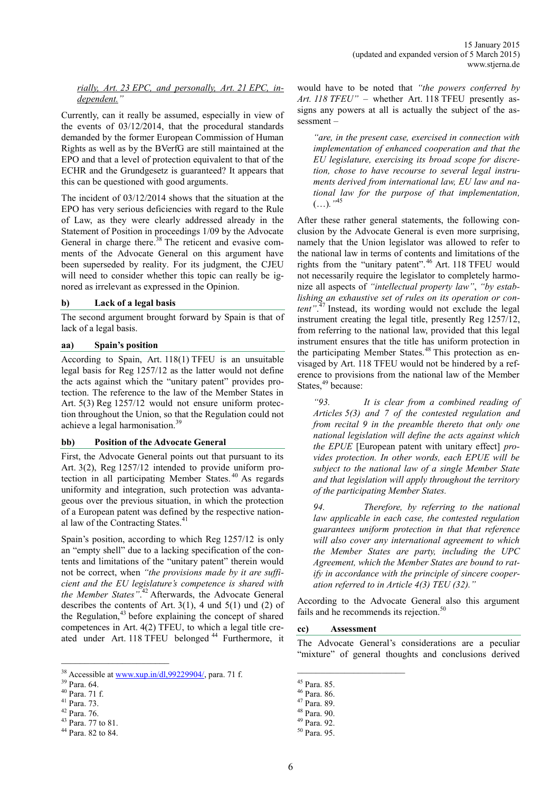# *rially, Art. 23 EPC, and personally, Art. 21 EPC, independent."*

Currently, can it really be assumed, especially in view of the events of 03/12/2014, that the procedural standards demanded by the former European Commission of Human Rights as well as by the BVerfG are still maintained at the EPO and that a level of protection equivalent to that of the ECHR and the Grundgesetz is guaranteed? It appears that this can be questioned with good arguments.

The incident of 03/12/2014 shows that the situation at the EPO has very serious deficiencies with regard to the Rule of Law, as they were clearly addressed already in the Statement of Position in proceedings 1/09 by the Advocate General in charge there.<sup>38</sup> The reticent and evasive comments of the Advocate General on this argument have been superseded by reality. For its judgment, the CJEU will need to consider whether this topic can really be ignored as irrelevant as expressed in the Opinion.

# **b) Lack of a legal basis**

The second argument brought forward by Spain is that of lack of a legal basis.

# **aa) Spain's position**

According to Spain, Art. 118(1) TFEU is an unsuitable legal basis for Reg 1257/12 as the latter would not define the acts against which the "unitary patent" provides protection. The reference to the law of the Member States in Art. 5(3) Reg 1257/12 would not ensure uniform protection throughout the Union, so that the Regulation could not achieve a legal harmonisation.<sup>39</sup>

# **bb) Position of the Advocate General**

First, the Advocate General points out that pursuant to its Art. 3(2), Reg 1257/12 intended to provide uniform protection in all participating Member States. <sup>40</sup> As regards uniformity and integration, such protection was advantageous over the previous situation, in which the protection of a European patent was defined by the respective national law of the Contracting States.<sup>4</sup>

Spain's position, according to which Reg 1257/12 is only an "empty shell" due to a lacking specification of the contents and limitations of the "unitary patent" therein would not be correct, when *"the provisions made by it are sufficient and the EU legislature's competence is shared with the Member States"*. <sup>42</sup> Afterwards, the Advocate General describes the contents of Art.  $3(1)$ , 4 und  $5(1)$  und  $(2)$  of the Regulation,<sup>43</sup> before explaining the concept of shared competences in Art. 4(2) TFEU, to which a legal title created under Art. 118 TFEU belonged <sup>44</sup> Furthermore, it

would have to be noted that *"the powers conferred by Art. 118 TFEU"* – whether Art. 118 TFEU presently assigns any powers at all is actually the subject of the assessment –

*"are, in the present case, exercised in connection with implementation of enhanced cooperation and that the EU legislature, exercising its broad scope for discretion, chose to have recourse to several legal instruments derived from international law, EU law and national law for the purpose of that implementation,*  (…)*."* 45

After these rather general statements, the following conclusion by the Advocate General is even more surprising, namely that the Union legislator was allowed to refer to the national law in terms of contents and limitations of the rights from the "unitary patent".<sup>46</sup> Art. 118 TFEU would not necessarily require the legislator to completely harmonize all aspects of *"intellectual property law"*, *"by establishing an exhaustive set of rules on its operation or content"*. <sup>47</sup> Instead, its wording would not exclude the legal instrument creating the legal title, presently Reg 1257/12, from referring to the national law, provided that this legal instrument ensures that the title has uniform protection in the participating Member States.<sup>48</sup> This protection as envisaged by Art. 118 TFEU would not be hindered by a reference to provisions from the national law of the Member States, $49$  because:

*"93. It is clear from a combined reading of Articles 5(3) and 7 of the contested regulation and from recital 9 in the preamble thereto that only one national legislation will define the acts against which the EPUE* [European patent with unitary effect] *provides protection. In other words, each EPUE will be subject to the national law of a single Member State and that legislation will apply throughout the territory of the participating Member States.*

*94. Therefore, by referring to the national law applicable in each case, the contested regulation guarantees uniform protection in that that reference will also cover any international agreement to which the Member States are party, including the UPC Agreement, which the Member States are bound to ratify in accordance with the principle of sincere cooperation referred to in Article 4(3) TEU (32)."*

According to the Advocate General also this argument fails and he recommends its rejection.<sup>50</sup>

#### **cc) Assessment**

The Advocate General's considerations are a peculiar "mixture" of general thoughts and conclusions derived

<sup>&</sup>lt;sup>38</sup> Accessible at [www.xup.in/dl,99229904/,](http://www.xup.in/dl,99229904/) para. 71 f.

<sup>39</sup> Para. 64.

<sup>40</sup> Para. 71 f.

<sup>41</sup> Para. 73.

<sup>42</sup> Para. 76.

<sup>43</sup> Para. 77 to 81.

<sup>44</sup> Para. 82 to 84.

<sup>45</sup> Para. 85.

<sup>46</sup> Para. 86.

<sup>47</sup> Para. 89.

<sup>48</sup> Para. 90.

<sup>49</sup> Para. 92.

<sup>50</sup> Para. 95.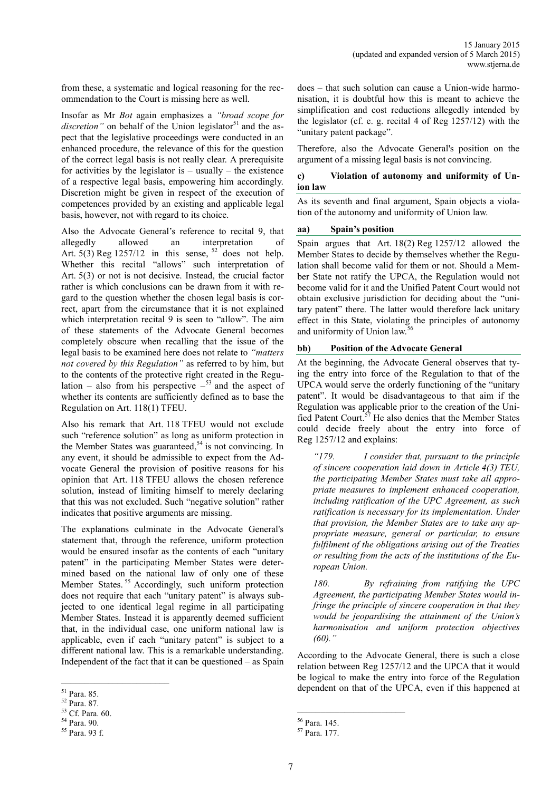from these, a systematic and logical reasoning for the recommendation to the Court is missing here as well.

Insofar as Mr *Bot* again emphasizes a *"broad scope for discretion*" on behalf of the Union legislator<sup>51</sup> and the aspect that the legislative proceedings were conducted in an enhanced procedure, the relevance of this for the question of the correct legal basis is not really clear. A prerequisite for activities by the legislator is  $-$  usually  $-$  the existence of a respective legal basis, empowering him accordingly. Discretion might be given in respect of the execution of competences provided by an existing and applicable legal basis, however, not with regard to its choice.

Also the Advocate General's reference to recital 9, that allegedly allowed an interpretation of Art.  $5(3)$  Reg 1257/12 in this sense,  $52$  does not help. Whether this recital "allows" such interpretation of Art. 5(3) or not is not decisive. Instead, the crucial factor rather is which conclusions can be drawn from it with regard to the question whether the chosen legal basis is correct, apart from the circumstance that it is not explained which interpretation recital 9 is seen to "allow". The aim of these statements of the Advocate General becomes completely obscure when recalling that the issue of the legal basis to be examined here does not relate to *"matters not covered by this Regulation"* as referred to by him, but to the contents of the protective right created in the Regulation – also from his perspective  $-$ <sup>53</sup> and the aspect of whether its contents are sufficiently defined as to base the Regulation on Art. 118(1) TFEU.

Also his remark that Art. 118 TFEU would not exclude such "reference solution" as long as uniform protection in the Member States was guaranteed,<sup>54</sup> is not convincing. In any event, it should be admissible to expect from the Advocate General the provision of positive reasons for his opinion that Art. 118 TFEU allows the chosen reference solution, instead of limiting himself to merely declaring that this was not excluded. Such "negative solution" rather indicates that positive arguments are missing.

The explanations culminate in the Advocate General's statement that, through the reference, uniform protection would be ensured insofar as the contents of each "unitary patent" in the participating Member States were determined based on the national law of only one of these Member States.<sup>55</sup> Accordingly, such uniform protection does not require that each "unitary patent" is always subjected to one identical legal regime in all participating Member States. Instead it is apparently deemed sufficient that, in the individual case, one uniform national law is applicable, even if each "unitary patent" is subject to a different national law. This is a remarkable understanding. Independent of the fact that it can be questioned – as Spain

 $\mathcal{L}_\text{max}$ 

does – that such solution can cause a Union-wide harmonisation, it is doubtful how this is meant to achieve the simplification and cost reductions allegedly intended by the legislator (cf. e. g. recital 4 of Reg 1257/12) with the "unitary patent package".

Therefore, also the Advocate General's position on the argument of a missing legal basis is not convincing.

# **c) Violation of autonomy and uniformity of Union law**

As its seventh and final argument, Spain objects a violation of the autonomy and uniformity of Union law.

# **aa) Spain's position**

Spain argues that Art. 18(2) Reg 1257/12 allowed the Member States to decide by themselves whether the Regulation shall become valid for them or not. Should a Member State not ratify the UPCA, the Regulation would not become valid for it and the Unified Patent Court would not obtain exclusive jurisdiction for deciding about the "unitary patent" there. The latter would therefore lack unitary effect in this State, violating the principles of autonomy and uniformity of Union law.

# **bb) Position of the Advocate General**

At the beginning, the Advocate General observes that tying the entry into force of the Regulation to that of the UPCA would serve the orderly functioning of the "unitary patent". It would be disadvantageous to that aim if the Regulation was applicable prior to the creation of the Unified Patent Court.<sup>57</sup> He also denies that the Member States could decide freely about the entry into force of Reg 1257/12 and explains:

*"179. I consider that, pursuant to the principle of sincere cooperation laid down in Article 4(3) TEU, the participating Member States must take all appropriate measures to implement enhanced cooperation, including ratification of the UPC Agreement, as such ratification is necessary for its implementation. Under that provision, the Member States are to take any appropriate measure, general or particular, to ensure fulfilment of the obligations arising out of the Treaties or resulting from the acts of the institutions of the European Union.*

*180. By refraining from ratifying the UPC Agreement, the participating Member States would infringe the principle of sincere cooperation in that they would be jeopardising the attainment of the Union's harmonisation and uniform protection objectives (60)."*

According to the Advocate General, there is such a close relation between Reg 1257/12 and the UPCA that it would be logical to make the entry into force of the Regulation dependent on that of the UPCA, even if this happened at

<sup>51</sup> Para. 85.

<sup>52</sup> Para. 87.

<sup>53</sup> Cf. Para. 60.

<sup>54</sup> Para. 90.

<sup>55</sup> Para. 93 f.

<sup>56</sup> Para. 145.

<sup>57</sup> Para. 177.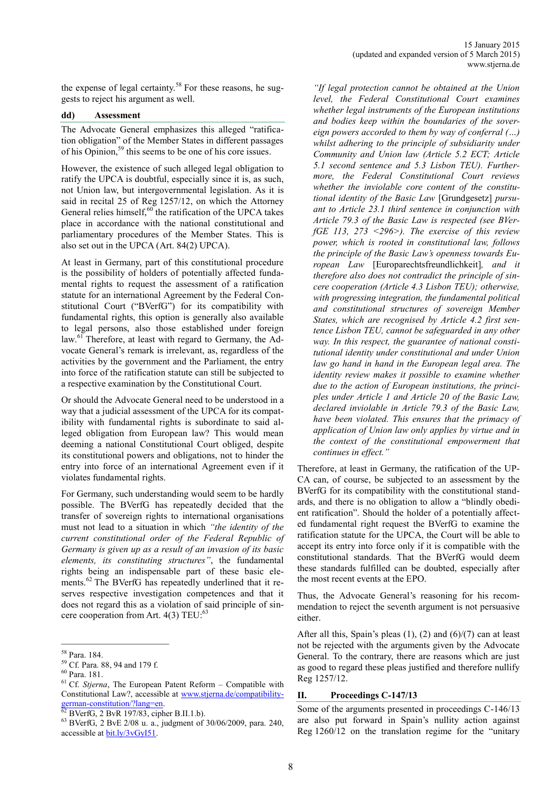the expense of legal certainty.<sup>58</sup> For these reasons, he suggests to reject his argument as well.

#### **dd) Assessment**

The Advocate General emphasizes this alleged "ratification obligation" of the Member States in different passages of his Opinion,<sup>59</sup> this seems to be one of his core issues.

However, the existence of such alleged legal obligation to ratify the UPCA is doubtful, especially since it is, as such, not Union law, but intergovernmental legislation. As it is said in recital 25 of Reg 1257/12, on which the Attorney General relies himself, $60$  the ratification of the UPCA takes place in accordance with the national constitutional and parliamentary procedures of the Member States. This is also set out in the UPCA (Art. 84(2) UPCA).

At least in Germany, part of this constitutional procedure is the possibility of holders of potentially affected fundamental rights to request the assessment of a ratification statute for an international Agreement by the Federal Constitutional Court ("BVerfG") for its compatibility with fundamental rights, this option is generally also available to legal persons, also those established under foreign law.<sup>61</sup> Therefore, at least with regard to Germany, the Advocate General's remark is irrelevant, as, regardless of the activities by the government and the Parliament, the entry into force of the ratification statute can still be subjected to a respective examination by the Constitutional Court.

Or should the Advocate General need to be understood in a way that a judicial assessment of the UPCA for its compatibility with fundamental rights is subordinate to said alleged obligation from European law? This would mean deeming a national Constitutional Court obliged, despite its constitutional powers and obligations, not to hinder the entry into force of an international Agreement even if it violates fundamental rights.

For Germany, such understanding would seem to be hardly possible. The BVerfG has repeatedly decided that the transfer of sovereign rights to international organisations must not lead to a situation in which *"the identity of the current constitutional order of the Federal Republic of Germany is given up as a result of an invasion of its basic elements, its constituting structures"*, the fundamental rights being an indispensable part of these basic elements.<sup>62</sup> The BVerfG has repeatedly underlined that it reserves respective investigation competences and that it does not regard this as a violation of said principle of sincere cooperation from Art. 4(3) TEU:<sup>63</sup>

\_\_\_\_\_\_\_\_\_\_\_\_\_\_\_\_\_\_\_\_\_\_\_

*"If legal protection cannot be obtained at the Union level, the Federal Constitutional Court examines whether legal instruments of the European institutions and bodies keep within the boundaries of the sovereign powers accorded to them by way of conferral (…) whilst adhering to the principle of subsidiarity under Community and Union law (Article 5.2 ECT; Article 5.1 second sentence and 5.3 Lisbon TEU). Furthermore, the Federal Constitutional Court reviews whether the inviolable core content of the constitutional identity of the Basic Law* [Grundgesetz] *pursuant to Article 23.1 third sentence in conjunction with Article 79.3 of the Basic Law is respected (see BVerfGE 113, 273 <296>). The exercise of this review power, which is rooted in constitutional law, follows the principle of the Basic Law's openness towards European Law* [Europarechtsfreundlichkeit]*, and it therefore also does not contradict the principle of sincere cooperation (Article 4.3 Lisbon TEU); otherwise, with progressing integration, the fundamental political and constitutional structures of sovereign Member States, which are recognised by Article 4.2 first sentence Lisbon TEU, cannot be safeguarded in any other way. In this respect, the guarantee of national constitutional identity under constitutional and under Union law go hand in hand in the European legal area. The identity review makes it possible to examine whether due to the action of European institutions, the principles under Article 1 and Article 20 of the Basic Law, declared inviolable in Article 79.3 of the Basic Law, have been violated. This ensures that the primacy of application of Union law only applies by virtue and in the context of the constitutional empowerment that continues in effect."*

Therefore, at least in Germany, the ratification of the UP-CA can, of course, be subjected to an assessment by the BVerfG for its compatibility with the constitutional standards, and there is no obligation to allow a "blindly obedient ratification". Should the holder of a potentially affected fundamental right request the BVerfG to examine the ratification statute for the UPCA, the Court will be able to accept its entry into force only if it is compatible with the constitutional standards. That the BVerfG would deem these standards fulfilled can be doubted, especially after the most recent events at the EPO.

Thus, the Advocate General's reasoning for his recommendation to reject the seventh argument is not persuasive either.

After all this, Spain's pleas  $(1)$ ,  $(2)$  and  $(6)/(7)$  can at least not be rejected with the arguments given by the Advocate General. To the contrary, there are reasons which are just as good to regard these pleas justified and therefore nullify Reg 1257/12.

# **II. Proceedings C-147/13**

Some of the arguments presented in proceedings C-146/13 are also put forward in Spain's nullity action against Reg 1260/12 on the translation regime for the "unitary

<sup>58</sup> Para. 184.

<sup>59</sup> Cf. Para. 88, 94 and 179 f.

<sup>60</sup> Para. 181.

<sup>61</sup> Cf. *Stjerna*, The European Patent Reform – Compatible with Constitutional Law?, accessible at [www.stjerna.de/compatibility](http://www.stjerna.de/compatibility-german-constitution/?lang=en)german-[constitution/?lang=en.](http://www.stjerna.de/compatibility-german-constitution/?lang=en)

 $\overline{{}^{62}$  BVerfG, 2 BvR 197/83, cipher B.II.1.b).

<sup>63</sup> BVerfG, 2 BvE 2/08 u. a., judgment of 30/06/2009, para. 240, accessible a[t bit.ly/3vGyI51.](file:///C:/Users/IBS/Eigene%20Dokumente/Veröffentlichungen/Website/2014_12%20-%20Opinion%20C-146_13/bit.ly/3vGyI51)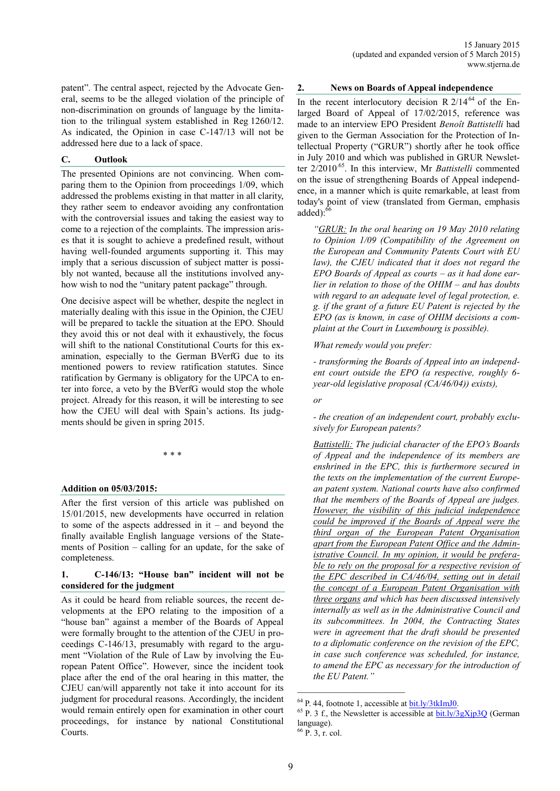patent". The central aspect, rejected by the Advocate General, seems to be the alleged violation of the principle of non-discrimination on grounds of language by the limitation to the trilingual system established in Reg 1260/12. As indicated, the Opinion in case C-147/13 will not be addressed here due to a lack of space.

#### **C. Outlook**

The presented Opinions are not convincing. When comparing them to the Opinion from proceedings 1/09, which addressed the problems existing in that matter in all clarity, they rather seem to endeavor avoiding any confrontation with the controversial issues and taking the easiest way to come to a rejection of the complaints. The impression arises that it is sought to achieve a predefined result, without having well-founded arguments supporting it. This may imply that a serious discussion of subject matter is possibly not wanted, because all the institutions involved anyhow wish to nod the "unitary patent package" through.

One decisive aspect will be whether, despite the neglect in materially dealing with this issue in the Opinion, the CJEU will be prepared to tackle the situation at the EPO. Should they avoid this or not deal with it exhaustively, the focus will shift to the national Constitutional Courts for this examination, especially to the German BVerfG due to its mentioned powers to review ratification statutes. Since ratification by Germany is obligatory for the UPCA to enter into force, a veto by the BVerfG would stop the whole project. Already for this reason, it will be interesting to see how the CJEU will deal with Spain's actions. Its judgments should be given in spring 2015.

\* \* \*

#### **Addition on 05/03/2015:**

After the first version of this article was published on 15/01/2015, new developments have occurred in relation to some of the aspects addressed in it – and beyond the finally available English language versions of the Statements of Position – calling for an update, for the sake of completeness.

#### **1. C-146/13: "House ban" incident will not be considered for the judgment**

As it could be heard from reliable sources, the recent developments at the EPO relating to the imposition of a "house ban" against a member of the Boards of Appeal were formally brought to the attention of the CJEU in proceedings C-146/13, presumably with regard to the argument "Violation of the Rule of Law by involving the European Patent Office". However, since the incident took place after the end of the oral hearing in this matter, the CJEU can/will apparently not take it into account for its judgment for procedural reasons. Accordingly, the incident would remain entirely open for examination in other court proceedings, for instance by national Constitutional Courts.

#### **2. News on Boards of Appeal independence**

In the recent interlocutory decision R  $2/14^{64}$  of the Enlarged Board of Appeal of 17/02/2015, reference was made to an interview EPO President *Benoît Battistelli* had given to the German Association for the Protection of Intellectual Property ("GRUR") shortly after he took office in July 2010 and which was published in GRUR Newsletter 2/2010<sup>.65</sup>. In this interview, Mr *Battistelli* commented on the issue of strengthening Boards of Appeal independence, in a manner which is quite remarkable, at least from today's point of view (translated from German, emphasis added): $66$ 

*"GRUR: In the oral hearing on 19 May 2010 relating to Opinion 1/09 (Compatibility of the Agreement on the European and Community Patents Court with EU law), the CJEU indicated that it does not regard the EPO Boards of Appeal as courts – as it had done earlier in relation to those of the OHIM – and has doubts with regard to an adequate level of legal protection, e. g. if the grant of a future EU Patent is rejected by the EPO (as is known, in case of OHIM decisions a complaint at the Court in Luxembourg is possible).* 

*What remedy would you prefer:*

*- transforming the Boards of Appeal into an independent court outside the EPO (a respective, roughly 6 year-old legislative proposal (CA/46/04)) exists),*

*or*

*- the creation of an independent court, probably exclusively for European patents?*

*Battistelli: The judicial character of the EPO's Boards of Appeal and the independence of its members are enshrined in the EPC, this is furthermore secured in the texts on the implementation of the current European patent system. National courts have also confirmed that the members of the Boards of Appeal are judges. However, the visibility of this judicial independence could be improved if the Boards of Appeal were the third organ of the European Patent Organisation apart from the European Patent Office and the Administrative Council. In my opinion, it would be preferable to rely on the proposal for a respective revision of the EPC described in CA/46/04, setting out in detail the concept of a European Patent Organisation with three organs and which has been discussed intensively internally as well as in the Administrative Council and its subcommittees. In 2004, the Contracting States were in agreement that the draft should be presented to a diplomatic conference on the revision of the EPC, in case such conference was scheduled, for instance, to amend the EPC as necessary for the introduction of the EU Patent."*

 $\mathcal{L}_\text{max}$ 

 $64$  P. 44, footnote 1, accessible at  $\frac{bit \cdot ly}{3tkImJO}$ .

 $65$  P. 3 f., the Newsletter is accessible at  $\underline{bit}$ .ly/3gXjp3Q (German language).

<sup>66</sup> P. 3, r. col.